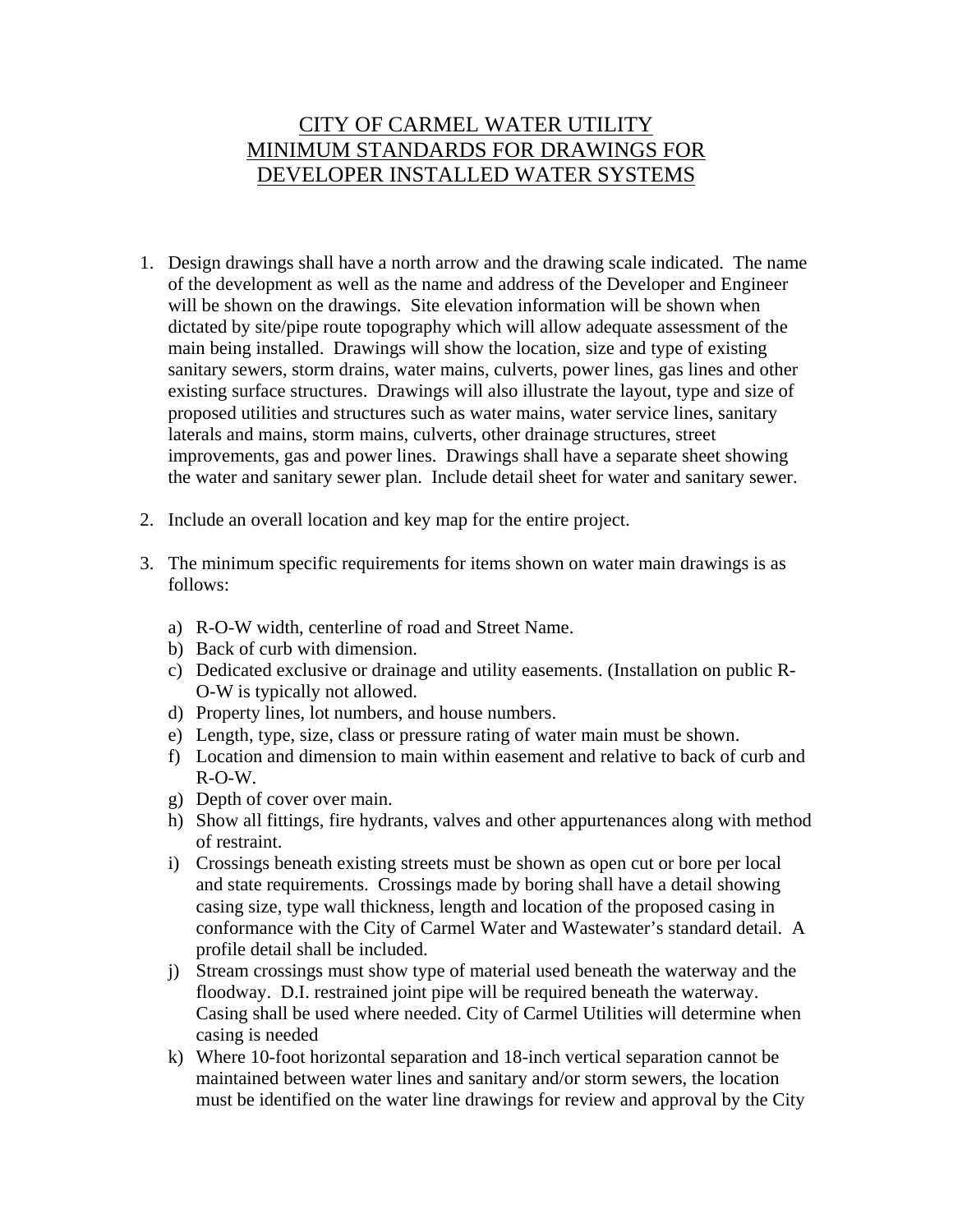## CITY OF CARMEL WATER UTILITY MINIMUM STANDARDS FOR DRAWINGS FOR DEVELOPER INSTALLED WATER SYSTEMS

- 1. Design drawings shall have a north arrow and the drawing scale indicated. The name of the development as well as the name and address of the Developer and Engineer will be shown on the drawings. Site elevation information will be shown when dictated by site/pipe route topography which will allow adequate assessment of the main being installed. Drawings will show the location, size and type of existing sanitary sewers, storm drains, water mains, culverts, power lines, gas lines and other existing surface structures. Drawings will also illustrate the layout, type and size of proposed utilities and structures such as water mains, water service lines, sanitary laterals and mains, storm mains, culverts, other drainage structures, street improvements, gas and power lines. Drawings shall have a separate sheet showing the water and sanitary sewer plan. Include detail sheet for water and sanitary sewer.
- 2. Include an overall location and key map for the entire project.
- 3. The minimum specific requirements for items shown on water main drawings is as follows:
	- a) R-O-W width, centerline of road and Street Name.
	- b) Back of curb with dimension.
	- c) Dedicated exclusive or drainage and utility easements. (Installation on public R-O-W is typically not allowed.
	- d) Property lines, lot numbers, and house numbers.
	- e) Length, type, size, class or pressure rating of water main must be shown.
	- f) Location and dimension to main within easement and relative to back of curb and R-O-W.
	- g) Depth of cover over main.
	- h) Show all fittings, fire hydrants, valves and other appurtenances along with method of restraint.
	- i) Crossings beneath existing streets must be shown as open cut or bore per local and state requirements. Crossings made by boring shall have a detail showing casing size, type wall thickness, length and location of the proposed casing in conformance with the City of Carmel Water and Wastewater's standard detail. A profile detail shall be included.
	- j) Stream crossings must show type of material used beneath the waterway and the floodway. D.I. restrained joint pipe will be required beneath the waterway. Casing shall be used where needed. City of Carmel Utilities will determine when casing is needed
	- k) Where 10-foot horizontal separation and 18-inch vertical separation cannot be maintained between water lines and sanitary and/or storm sewers, the location must be identified on the water line drawings for review and approval by the City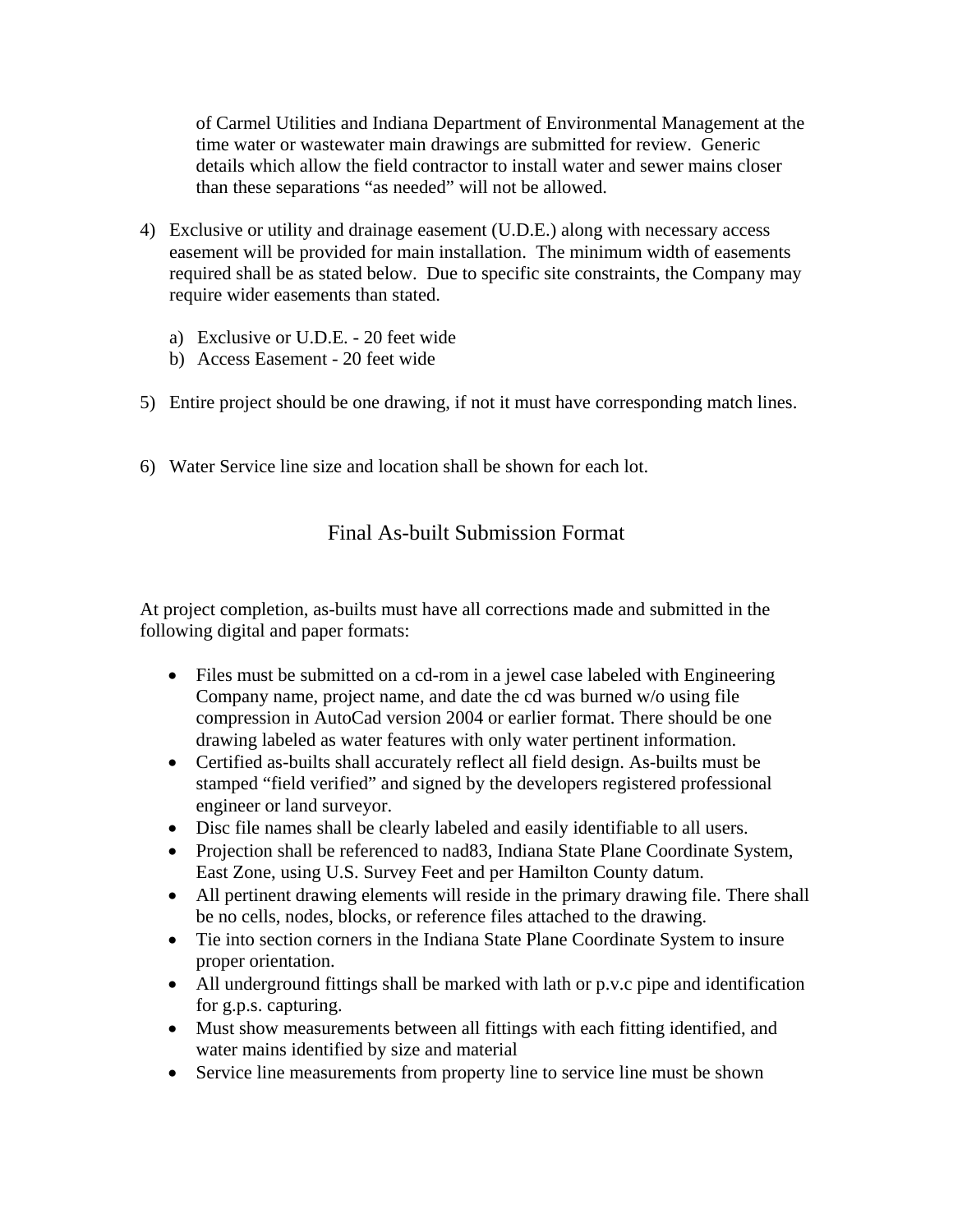of Carmel Utilities and Indiana Department of Environmental Management at the time water or wastewater main drawings are submitted for review. Generic details which allow the field contractor to install water and sewer mains closer than these separations "as needed" will not be allowed.

- 4) Exclusive or utility and drainage easement (U.D.E.) along with necessary access easement will be provided for main installation. The minimum width of easements required shall be as stated below. Due to specific site constraints, the Company may require wider easements than stated.
	- a) Exclusive or U.D.E. 20 feet wide
	- b) Access Easement 20 feet wide
- 5) Entire project should be one drawing, if not it must have corresponding match lines.
- 6) Water Service line size and location shall be shown for each lot.

## Final As-built Submission Format

At project completion, as-builts must have all corrections made and submitted in the following digital and paper formats:

- Files must be submitted on a cd-rom in a jewel case labeled with Engineering Company name, project name, and date the cd was burned w/o using file compression in AutoCad version 2004 or earlier format. There should be one drawing labeled as water features with only water pertinent information.
- Certified as-builts shall accurately reflect all field design. As-builts must be stamped "field verified" and signed by the developers registered professional engineer or land surveyor.
- Disc file names shall be clearly labeled and easily identifiable to all users.
- Projection shall be referenced to nad 83, Indiana State Plane Coordinate System, East Zone, using U.S. Survey Feet and per Hamilton County datum.
- All pertinent drawing elements will reside in the primary drawing file. There shall be no cells, nodes, blocks, or reference files attached to the drawing.
- Tie into section corners in the Indiana State Plane Coordinate System to insure proper orientation.
- All underground fittings shall be marked with lath or p.v.c pipe and identification for g.p.s. capturing.
- Must show measurements between all fittings with each fitting identified, and water mains identified by size and material
- Service line measurements from property line to service line must be shown